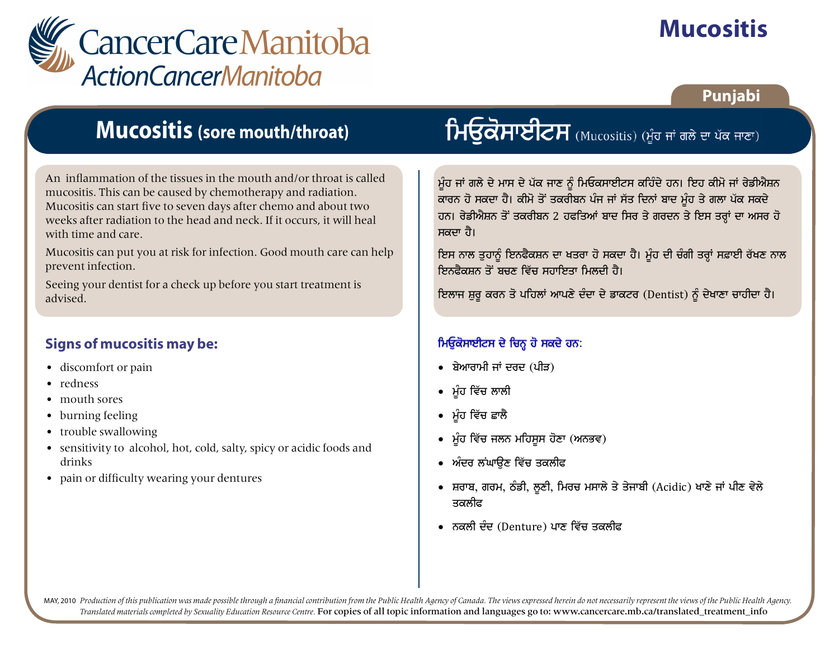

# **Mucositis**

### Punjabi

### **Mucositis (sore mouth/throat)**

An inflammation of the tissues in the mouth and/or throat is called mucositis. This can be caused by chemotherapy and radiation. Mucositis can start five to seven days after chemo and about two weeks after radiation to the head and neck. If it occurs, it will heal with time and care.

Mucositis can put you at risk for infection. Good mouth care can help prevent infection.

Seeing your dentist for a check up before you start treatment is advised.

#### **Signs of mucositis may be:**

- discomfort or pain
- redness
- mouth sores
- burning feeling
- trouble swallowing
- sensitivity to alcohol, hot, cold, salty, spicy or acidic foods and drinks
- pain or difficulty wearing your dentures

# $\overline{h}$ ਓਕੋਸਾਈਟਸ (Mucositis) (ਮੂੰਹ ਜਾਂ ਗਲੇ ਦਾ ਪੱਕ ਜਾਣਾ)

ਮੁੰਹ ਜਾਂ ਗਲੇ ਦੇ ਮਾਸ ਦੇ ਪੱਕ ਜਾਣ ਨੂੰ ਮਿਓਕਸਾਈਟਸ ਕਹਿੰਦੇ ਹਨ। ਇਹ ਕੀਮੋ ਜਾਂ ਰੇਡੀਐਸ਼ਨ ਕਾਰਨ ਹੋ ਸਕਦਾ ਹੈ। ਕੀਮੋ ਤੋਂ ਤਕਰੀਬਨ ਪੰਜ ਜਾਂ ਸੱਤ ਦਿਨਾਂ ਬਾਦ ਮੂੰਹ ਤੇ ਗਲਾ ਪੱਕ ਸਕਦੇ ਹਨ। ਰੇਡੀਐਸ਼ਨ ਤੋਂ ਤਕਰੀਬਨ 2 ਹਫਤਿਆਂ ਬਾਦ ਸਿਰ ਤੇ ਗਰਦਨ ਤੇ ਇਸ ਤਰ੍ਹਾਂ ਦਾ ਅਸਰ ਹੋ ਸਕਦਾ ਹੈ।

ਇਸ ਨਾਲ ਤੁਹਾਨੂੰ ਇਨਫੈਕਸ਼ਨ ਦਾ ਖਤਰਾ ਹੋ ਸਕਦਾ ਹੈ। ਮੂੰਹ ਦੀ ਚੰਗੀ ਤਰ੍ਹਾਂ ਸਫ਼ਾਈ ਰੱਖਣ ਨਾਲ ਇਨਫੈਕਸ਼ਨ ਤੋਂ ਬਚਣ ਵਿੱਚ ਸਹਾਇਤਾ ਮਿਲਦੀ ਹੈ।

ਇਲਾਜ ਸ਼ੁਰੂ ਕਰਨ ਤੋ ਪਹਿਲਾਂ ਆਪਣੇ ਦੰਦਾ ਦੇ ਡਾਕਟਰ (Dentist) ਨੂੰ ਦੇਖਾਣਾ ਚਾਹੀਦਾ ਹੈ।

### ਮਿਓੂਕੋਸਾਈਟਸ ਦੇ ਚਿਨ੍ਹ ਹੋ ਸਕਦੇ ਹਨ:

- ਬੇਆਰਾਮੀ ਜਾਂ ਦਰਦ (ਪੀੜ)
- ਮੰਹ ਵਿੱਚ ਲਾਲੀ
- ∙ ਮੰਹ ਵਿੱਚ ਛਾਲੈ
- ਮੰਹ ਵਿੱਚ ਜਲਨ ਮਹਿਸਸ ਹੋਣਾ (ਅਨਭਵ)
- ਅੰਦਰ ਲਂਘਾੳਣ ਵਿੱਚ ਤਕਲੀਫ
- ਸ਼ਰਾਬ, ਗਰਮ, ਠੰਡੀ, ਲੁਣੀ, ਮਿਰਚ ਮਸਾਲੇ ਤੇ ਤੇਜਾਬੀ (Acidic) ਖਾਣੇ ਜਾਂ ਪੀਣ ਵੇਲੇ ਤਕਲੀਫ
- ਨਕਲੀ ਦੰਦ (Denture) ਪਾਣ ਵਿੱਚ ਤਕਲੀਫ

MAY, 2010 Production of this publication was made possible through a financial contribution from the Public Health Agency of Canada. The views expressed herein do not necessarily represent the views of the Public Health Ag Translated materials completed by Sexuality Education Resource Centre. For copies of all topic information and languages go to: www.cancercare.mb.ca/translated treatment info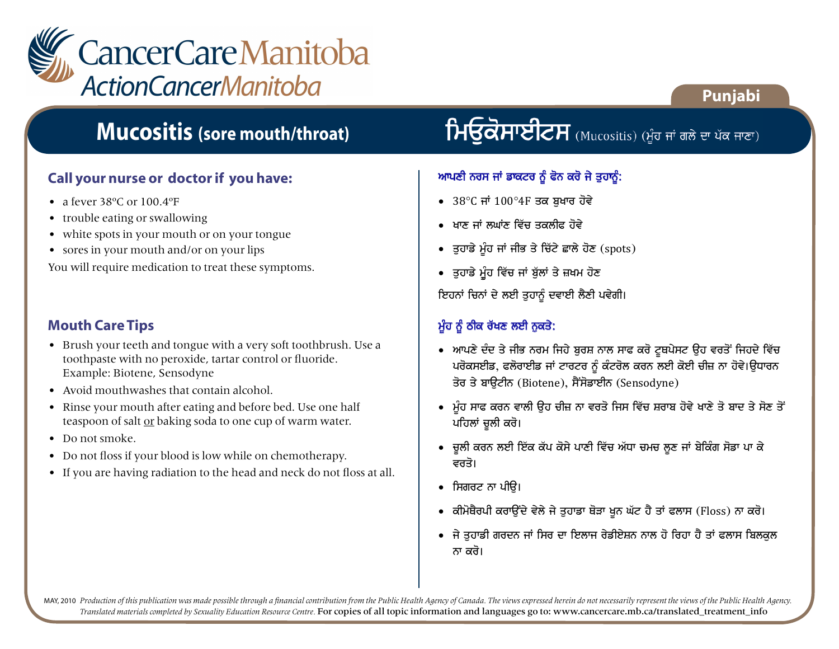

## **Mucositis (sore mouth/throat)**

#### **Call your nurse or doctor if you have:**

- a fever 38°C or 100.4°F
- trouble eating or swallowing
- white spots in your mouth or on your tongue
- sores in your mouth and/or on your lips

You will require medication to treat these symptoms.

#### **Mouth Care Tips**

- Brush your teeth and tongue with a very soft toothbrush. Use a toothpaste with no peroxide, tartar control or fluoride. Example: Biotene, Sensodyne
- Avoid mouthwashes that contain alcohol.
- Rinse your mouth after eating and before bed. Use one half teaspoon of salt or baking soda to one cup of warm water.
- Do not smoke.
- Do not floss if your blood is low while on chemotherapy.
- If you are having radiation to the head and neck do not floss at all.

## $\mathsf{H}\overline{\mathsf{G}}$ ਕੋਸਾਈਟਸ (Mucositis) (ਮੂੰਹ ਜਾਂ ਗਲੇ ਦਾ ਪੱਕ ਜਾਣਾ)

**Punjabi**

#### ਆਪਣੀ ਨਰਸ ਜਾਂ ਡਾਕਟਰ ਨੂੰ ਫੋਨ ਕਰੋ ਜੇ ਤੁਹਾਨੂੰ:

- 38 C ਜਾਂ 100 4F ਤਕ ਬਖਾਰ ਹੋਵੇ
- $\bullet$  ਖਾਣ ਜਾਂ ਲਘਾਂਣ ਵਿੱਚ ਤਕਲੀਫ਼ ਹੋਵੇ
- $\bullet$  ਤੁਹਾਡੇ ਮੂੰਹ ਜਾਂ ਜੀਭ ਤੇ ਚਿੱਟੇ ਛਾਲੇ ਹੋਣ (spots)
- ਤੁਹਾਡੇ ਮੂੰਹ ਵਿੱਚ ਜਾਂ ਬੁੱਲਾਂ ਤੇ ਜ਼ਖਮ ਹੋਣ

ਇਹਨਾਂ ਚਿਨਾਂ ਦੇ ਲਈ ਤੁਹਾਨੂੰ ਦਵਾਈ ਲੈਣੀ ਪਵੇਗੀ।

### ਮੁੰਹ ਨੂੰ ਠੀਕ ਰੱਖਣ ਲਈ ਨੁਕਤੇ:

- ਆਪਣੇ ਦੰਦ ਤੇ ਜੀਭ ਨਰਮ ਜਿਹੇ ਬਰਸ਼ ਨਾਲ ਸਾਫ ਕਰੋ ਟਥਪੇਸਟ ੳਹ ਵਰਤੋਂ ਜਿਹਦੇ ਵਿੱਚ ਪਰੋਕਸਈਡ, ਫਲੋਰਾਈਡ ਜਾਂ ਟਾਰਟਰ ਨੂੰ ਕੰਟਰੋਲ ਕਰਨ ਲਈ ਕੋਈ ਚੀਜ਼ ਨਾ ਹੋਵੇ।ਉਧਾਰਨ ਤੋਰ ਤੇ ਬਾੳਟੀਨ (Biotene), ਸੈਂਸੋਡਾਈਨ (Sensodyne)
- ਮੁੰਹ ਸਾਫ ਕਰਨ ਵਾਲੀ ਉਹ ਚੀਜ਼ ਨਾ ਵਰਤੋ ਜਿਸ ਵਿੱਚ ਸ਼ਰਾਬ ਹੋਵੇ ਖਾਣੇ ਤੋ ਬਾਦ ਤੇ ਸੋਣ ਤੋਂ ਪਹਿਲਾਂ ਚਲੀ ਕਰੋ।
- ਚੁਲੀ ਕਰਨ ਲਈ ਇੱਕ ਕੱਪ ਕੋਸੇ ਪਾਣੀ ਵਿੱਚ ਅੱਧਾ ਚਮਚ ਲੁਣ ਜਾਂ ਬੇਕਿੰਗ ਸੋਡਾ ਪਾ ਕੇ ਵਰਤੋ।
- ਸਿਗਰਟ ਨਾ ਪੀੳ।
- ਕੀਮੋਥੈਰਪੀ ਕਰਾਉਂਦੇ ਵੇਲੇ ਜੇ ਤੁਹਾਡਾ ਥੋੜਾ ਖੁਨ ਘੱਟ ਹੈ ਤਾਂ ਫਲਾਸ (Floss) ਨਾ ਕਰੋ।
- ਜੇ ਤੁਹਾਡੀ ਗਰਦਨ ਜਾਂ ਸਿਰ ਦਾ ਇਲਾਜ ਰੇਡੀਏਸ਼ਨ ਨਾਲ ਹੋ ਰਿਹਾ ਹੈ ਤਾਂ ਫਲਾਸ ਬਿਲਕੁਲ ਨਾ ਕਰੋ।

MAY, 2010 Production of this publication was made possible through a financial contribution from the Public Health Agency of Canada. The views expressed herein do not necessarily represent the views of the Public Health Ag *Translated materials completed by Sexuality Education Resource Centre.* For copies of all topic information and languages go to: www.cancercare.mb.ca/translated\_treatment\_info